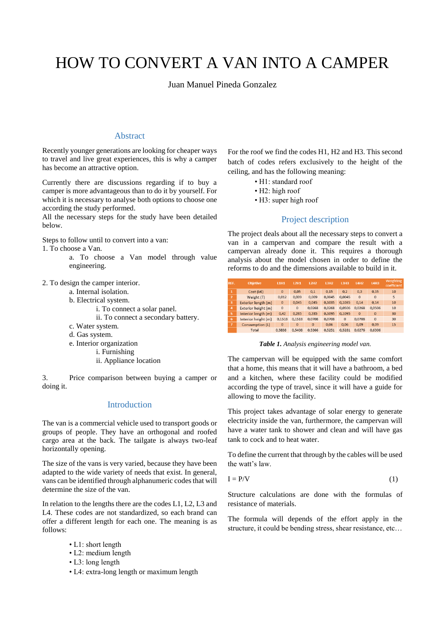# HOW TO CONVERT A VAN INTO A CAMPER

Juan Manuel Pineda Gonzalez

#### Abstract

Recently younger generations are looking for cheaper ways to travel and live great experiences, this is why a camper has become an attractive option.

Currently there are discussions regarding if to buy a camper is more advantageous than to do it by yourself. For which it is necessary to analyse both options to choose one according the study performed.

All the necessary steps for the study have been detailed below.

Steps to follow until to convert into a van:

1. To choose a Van.

- a. To choose a Van model through value engineering.
- 2. To design the camper interior.
	- a. Internal isolation.
	- b. Electrical system.
		- i. To connect a solar panel.
		- ii. To connect a secondary battery.
	- c. Water system.
	- d. Gas system.
	- e. Interior organization
		- i. Furnishing
			- ii. Appliance location

3. Price comparison between buying a camper or doing it.

## Introduction

The van is a commercial vehicle used to transport goods or groups of people. They have an orthogonal and roofed cargo area at the back. The tailgate is always two-leaf horizontally opening.

The size of the vans is very varied, because they have been adapted to the wide variety of needs that exist. In general, vans can be identified through alphanumeric codes that will determine the size of the van.

In relation to the lengths there are the codes L1, L2, L3 and L4. These codes are not standardized, so each brand can offer a different length for each one. The meaning is as follows:

- L1: short length
- L2: medium length
- L3: long length
- L4: extra-long length or maximum length

For the roof we find the codes H1, H2 and H3. This second batch of codes refers exclusively to the height of the ceiling, and has the following meaning:

- H1: standard roof
- H2: high roof
- H3: super high roof

## Project description

The project deals about all the necessary steps to convert a van in a campervan and compare the result with a campervan already done it. This requires a thorough analysis about the model chosen in order to define the reforms to do and the dimensions available to build in it.

| REF.           | <b>Objetive</b>             | <b>L1H1</b>  | <b>L2H1</b>  | L2H2    | <b>L3H2</b> | <b>L3H3</b> | <b>L4H2</b>    | <b>L4H3</b>  | Weighting<br>coefficient |
|----------------|-----------------------------|--------------|--------------|---------|-------------|-------------|----------------|--------------|--------------------------|
| $\mathbf{1}$   | Cost ( $k \in \mathbb{R}$ ) | $\mathbf{0}$ | 0,05         | 0,1     | 0.15        | 0,2         | 0,3            | 0,35         | 10                       |
| $\overline{2}$ | Weight (T)                  | 0.012        | 0.009        | 0.009   | 0.0045      | 0.0045      | $\mathbf{0}$   | $\Omega$     | 5                        |
| 3              | Exterior length (m)         | $\mathbf{0}$ | 0,045        | 0.045   | 0.1035      | 0.1035      | 0.14           | 0.14         | 10                       |
| $\overline{4}$ | Exterior height (m)         | $\Omega$     | $\Omega$     | 0.0268  | 0.0268      | 0.0506      | 0.0268         | 0,0506       | 10                       |
| -5             | Interior length (m)         | 0,42         | 0.285        | 0.285   | 0.1095      | 0.1095      | $\overline{0}$ | $\mathbf{0}$ | 30                       |
| 6              | Interior height (m)         | 0.1518       | 0.1518       | 0.0708  | 0.0708      | $\Omega$    | 0.0708         | $\Omega$     | 30                       |
| v.             | Consumption (L)             | $\mathbf{0}$ | $\mathbf{O}$ | $\circ$ | 0.06        | 0.06        | 0.09           | 0,09         | 15                       |
|                | Total                       | 0.5838       | 0.5408       | 0.5366  | 0.5251      | 0.5281      | 0.6276         | 0.6306       |                          |

*Table 1. Analysis engineering model van.*

The campervan will be equipped with the same comfort that a home, this means that it will have a bathroom, a bed and a kitchen, where these facility could be modified according the type of travel, since it will have a guide for allowing to move the facility.

This project takes advantage of solar energy to generate electricity inside the van, furthermore, the campervan will have a water tank to shower and clean and will have gas tank to cock and to heat water.

To define the current that through by the cables will be used the watt's law.

$$
I = P/V \tag{1}
$$

Structure calculations are done with the formulas of resistance of materials.

The formula will depends of the effort apply in the structure, it could be bending stress, shear resistance, etc…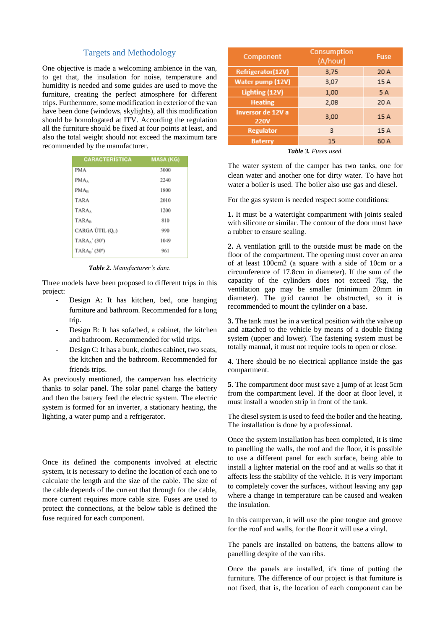## Targets and Methodology

One objective is made a welcoming ambience in the van, to get that, the insulation for noise, temperature and humidity is needed and some guides are used to move the furniture, creating the perfect atmosphere for different trips. Furthermore, some modification in exterior of the van have been done (windows, skylights), all this modification should be homologated at ITV. According the regulation all the furniture should be fixed at four points at least, and also the total weight should not exceed the maximum tare recommended by the manufacturer.

| <b>CARACTERÍSTICA</b>        | <b>MASA (KG)</b> |
|------------------------------|------------------|
| <b>PMA</b>                   | 3000             |
| $PMA_A$                      | 2240             |
| PMA <sub>B</sub>             | 1800             |
| <b>TARA</b>                  | 2010             |
| TARA,                        | 1200             |
| <b>TARA</b> <sub>B</sub>     | 810              |
| CARGA ÚTIL (Q <sub>U</sub> ) | 990              |
| $TARAA'$ (30°)               | 1049             |
| $TARA_B'$ (30°)              | 961              |

*Table 2. Manufacturer's data.*

Three models have been proposed to different trips in this project:

- Design A: It has kitchen, bed, one hanging furniture and bathroom. Recommended for a long trip.
- Design B: It has sofa/bed, a cabinet, the kitchen and bathroom. Recommended for wild trips.
- Design C: It has a bunk, clothes cabinet, two seats, the kitchen and the bathroom. Recommended for friends trips.

As previously mentioned, the campervan has electricity thanks to solar panel. The solar panel charge the battery and then the battery feed the electric system. The electric system is formed for an inverter, a stationary heating, the lighting, a water pump and a refrigerator.

Once its defined the components involved at electric system, it is necessary to define the location of each one to calculate the length and the size of the cable. The size of the cable depends of the current that through for the cable, more current requires more cable size. Fuses are used to protect the connections, at the below table is defined the fuse required for each component.

| Component                        | Consumption<br>(A/hour) | Fuse |
|----------------------------------|-------------------------|------|
| Refrigerator(12V)                | 3,75                    | 20 A |
| Water pump (12V)                 | 3,07                    | 15 A |
| Lighting (12V)                   | 1,00                    | 5 A  |
| <b>Heating</b>                   | 2.08                    | 20 A |
| Inversor de 12V a<br><b>220V</b> | 3,00                    | 15 A |
| <b>Regulator</b>                 | 3                       | 15 A |
| <b>Baterry</b>                   | 15                      | 60 A |

*Table 3. Fuses used.*

The water system of the camper has two tanks, one for clean water and another one for dirty water. To have hot water a boiler is used. The boiler also use gas and diesel.

For the gas system is needed respect some conditions:

**1.** It must be a watertight compartment with joints sealed with silicone or similar. The contour of the door must have a rubber to ensure sealing.

**2.** A ventilation grill to the outside must be made on the floor of the compartment. The opening must cover an area of at least 100cm2 (a square with a side of 10cm or a circumference of 17.8cm in diameter). If the sum of the capacity of the cylinders does not exceed 7kg, the ventilation gap may be smaller (minimum 20mm in diameter). The grid cannot be obstructed, so it is recommended to mount the cylinder on a base.

**3.** The tank must be in a vertical position with the valve up and attached to the vehicle by means of a double fixing system (upper and lower). The fastening system must be totally manual, it must not require tools to open or close.

**4**. There should be no electrical appliance inside the gas compartment.

**5**. The compartment door must save a jump of at least 5cm from the compartment level. If the door at floor level, it must install a wooden strip in front of the tank.

The diesel system is used to feed the boiler and the heating. The installation is done by a professional.

Once the system installation has been completed, it is time to panelling the walls, the roof and the floor, it is possible to use a different panel for each surface, being able to install a lighter material on the roof and at walls so that it affects less the stability of the vehicle. It is very important to completely cover the surfaces, without leaving any gap where a change in temperature can be caused and weaken the insulation.

In this campervan, it will use the pine tongue and groove for the roof and walls, for the floor it will use a vinyl.

The panels are installed on battens, the battens allow to panelling despite of the van ribs.

Once the panels are installed, it's time of putting the furniture. The difference of our project is that furniture is not fixed, that is, the location of each component can be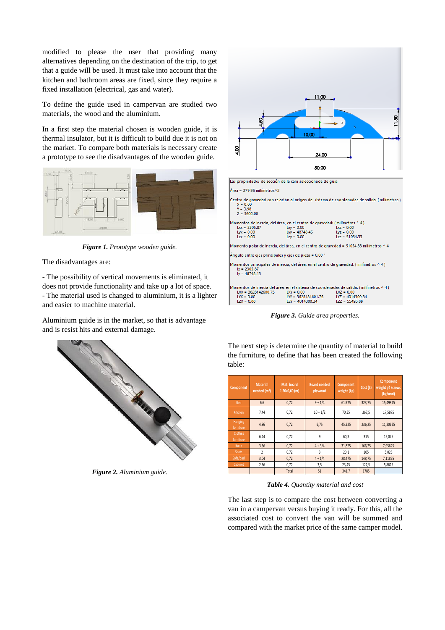modified to please the user that providing many alternatives depending on the destination of the trip, to get that a guide will be used. It must take into account that the kitchen and bathroom areas are fixed, since they require a fixed installation (electrical, gas and water).

To define the guide used in campervan are studied two materials, the wood and the aluminium.

In a first step the material chosen is wooden guide, it is thermal insulator, but it is difficult to build due it is not on the market. To compare both materials is necessary create a prototype to see the disadvantages of the wooden guide.



*Figure 1. Prototype wooden guide.*

The disadvantages are:

- The possibility of vertical movements is eliminated, it does not provide functionality and take up a lot of space. - The material used is changed to aluminium, it is a lighter and easier to machine material.

Aluminium guide is in the market, so that is advantage and is resist hits and external damage.



*Figure 2. Aluminium guide.*



Momento polar de inercia, del área, en el centro de gravedad = 51054.33 milímetros ^ 4

Ángulo entre ejes principales y ejes de pieza = 0.00 °

Momentos principales de inercia, del área, en el centro de gravedad: (milímetros ^ 4)  $1x = 2305.87$ <br> $1y = 48748.45$ 

|                       |                       | Aomentos de inercia del área, en el sistema de coordenadas de salida: ( milímetros ^ 4 ) . |
|-----------------------|-----------------------|--------------------------------------------------------------------------------------------|
| $LXX = 3628142600.75$ | $LXY = 0.00$          | $LXZ = 0.00$                                                                               |
| $1YX = 0.00$          | $LYY = 3628184601.76$ | $LYZ = 4014300.34$                                                                         |
| $LZX = 0.00$          | $LZY = 4014300.34$    | $LZZ = 55495.89$                                                                           |
|                       |                       |                                                                                            |

*Figure 3. Guide area properties.*

The next step is determine the quantity of material to build the furniture, to define that has been created the following table:

| Component                   | <b>Material</b><br>needed $(m2)$ | Mat. board<br>1,20x0,60 (m) | <b>Board needed</b><br>plywood | Component<br>weight (kg) | Cost $(\epsilon)$ | Component<br>weight /4 screws<br>(kg/und) |
|-----------------------------|----------------------------------|-----------------------------|--------------------------------|--------------------------|-------------------|-------------------------------------------|
| <b>Bed</b>                  | 6,6                              | 0,72                        | $9 + 1/4$                      | 61,975                   | 323,75            | 15,49375                                  |
| Kitchen                     | 7,44                             | 0,72                        | $10 + 1/2$                     | 70,35                    | 367,5             | 17,5875                                   |
| Hanging<br>forniture        | 4,86                             | 0,72                        | 6,75                           | 45,225                   | 236,25            | 11,30625                                  |
| <b>Clothes</b><br>furniture | 6,44                             | 0,72                        | 9                              | 60,3                     | 315               | 15,075                                    |
| <b>Bunk</b>                 | 3,36                             | 0,72                        | $4 + 3/4$                      | 31,825                   | 166,25            | 7,95625                                   |
| <b>Seats</b>                | $\overline{2}$                   | 0,72                        | 3                              | 20,1                     | 105               | 5,025                                     |
| Sofa/bed                    | 3,04                             | 0,72                        | $4 + 1/4$                      | 28,475                   | 148,75            | 7,11875                                   |
| Cabinet                     | 2,36                             | 0,72                        | 3,5                            | 23,45                    | 122,5             | 5,8625                                    |
|                             |                                  | Total                       | 51                             | 341,7                    | 1785              |                                           |

*Table 4. Quantity material and cost*

The last step is to compare the cost between converting a van in a campervan versus buying it ready. For this, all the associated cost to convert the van will be summed and compared with the market price of the same camper model.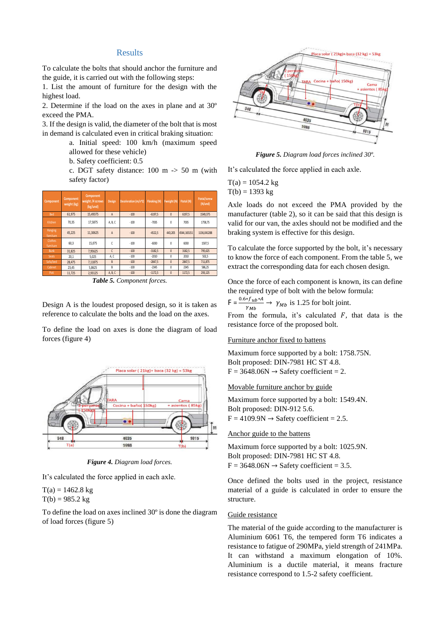### Results

To calculate the bolts that should anchor the furniture and the guide, it is carried out with the following steps:

1. List the amount of furniture for the design with the highest load.

2. Determine if the load on the axes in plane and at 30º exceed the PMA.

3. If the design is valid, the diameter of the bolt that is most in demand is calculated even in critical braking situation:

> a. Initial speed: 100 km/h (maximum speed allowed for these vehicle)

b. Safety coefficient: 0.5

c. DGT safety distance: 100 m -> 50 m (with safety factor)

| Component            | <b>Component</b><br>weight (kg) | Component<br>weight /4 screws<br>(kg/und) | <b>Design</b> | Deceleration (m/s^2) | Fbraking (N) | Fweight (N)    | Ftotal (N)  | <b>Ftotal/screw</b><br>(N/und) |
|----------------------|---------------------------------|-------------------------------------------|---------------|----------------------|--------------|----------------|-------------|--------------------------------|
| <b>Bed</b>           | 61.975                          | 15,49375                                  | A             | $-100$               | $-6197.5$    | $\overline{0}$ | 6197,5      | 1549,375                       |
| Kitchen              | 70.35                           | 17.5875                                   | A, B, C       | $-100$               | $-7035$      | 0              | 7035        | 1758.75                        |
| Hanging<br>forniture | 45.225                          | 11.30625                                  | A             | $-100$               | $-4522,5$    | 443.205        | 4544.165151 | 1136.041288                    |
| Clothes<br>furniture | 60,3                            | 15.075                                    | Ċ             | $-100$               | $-6030$      | 0              | 6030        | 1507,5                         |
| <b>Bunk</b>          | 31.825                          | 7.95625                                   | C             | $-100$               | $-3182.5$    | $\overline{0}$ | 3182.5      | 795,625                        |
| <b>Seats</b>         | 20,1                            | 5,025                                     | A, C          | $-100$               | $-2010$      | 0              | 2010        | 502,5                          |
| Sofa/bed             | 28.475                          | 7.11875                                   | B             | $-100$               | $-2847.5$    | $\mathbf{0}$   | 2847.5      | 711,875                        |
| Cabinet              | 23,45                           | 5.8625                                    | B             | $-100$               | $-2345$      | 0              | 2345        | 586,25                         |
| Poti                 | 11,725                          | 2.93125                                   | A, B, C       | $-100$               | $-1172,5$    | $\overline{0}$ | 1172,5      | 293,125                        |

*Table 5. Component forces.*

Design A is the loudest proposed design, so it is taken as reference to calculate the bolts and the load on the axes.

To define the load on axes is done the diagram of load forces (figure 4)



*Figure 4. Diagram load forces.*

It's calculated the force applied in each axle.

 $T(a) = 1462.8$  kg  $T(b) = 985.2 \text{ kg}$ 

To define the load on axes inclined 30º is done the diagram of load forces (figure 5)



*Figure 5. Diagram load forces inclined 30º.*

It's calculated the force applied in each axle.

 $T(a) = 1054.2 \text{ kg}$  $T(b) = 1393 kg$ 

Axle loads do not exceed the PMA provided by the manufacturer (table 2), so it can be said that this design is valid for our van, the axles should not be modified and the braking system is effective for this design.

To calculate the force supported by the bolt, it's necessary to know the force of each component. From the table 5, we extract the corresponding data for each chosen design.

Once the force of each component is known, its can define the required type of bolt with the below formula:

 $F = \frac{0.6 * f_{ub} * A}{v_{av}}$  $\frac{\gamma_{ub} \gamma_{ub}}{\gamma_{Mb}}$   $\rightarrow$   $\gamma_{Mb}$  is 1.25 for bolt joint.

From the formula, it's calculated  $F$ , that data is the resistance force of the proposed bolt.

#### Furniture anchor fixed to battens

Maximum force supported by a bolt: 1758.75N. Bolt proposed: DIN-7981 HC ST 4.8.  $F = 3648.06N \rightarrow$  Safety coefficient = 2.

Movable furniture anchor by guide

Maximum force supported by a bolt: 1549.4N. Bolt proposed: DIN-912 5.6.  $F = 4109.9N \rightarrow$  Safety coefficient = 2.5.

Anchor guide to the battens

Maximum force supported by a bolt: 1025.9N. Bolt proposed: DIN-7981 HC ST 4.8.  $F = 3648.06N \rightarrow$  Safety coefficient = 3.5.

Once defined the bolts used in the project, resistance material of a guide is calculated in order to ensure the structure.

#### Guide resistance

The material of the guide according to the manufacturer is Aluminium 6061 T6, the tempered form T6 indicates a resistance to fatigue of 290MPa, yield strength of 241MPa. It can withstand a maximum elongation of 10%. Aluminium is a ductile material, it means fracture resistance correspond to 1.5-2 safety coefficient.